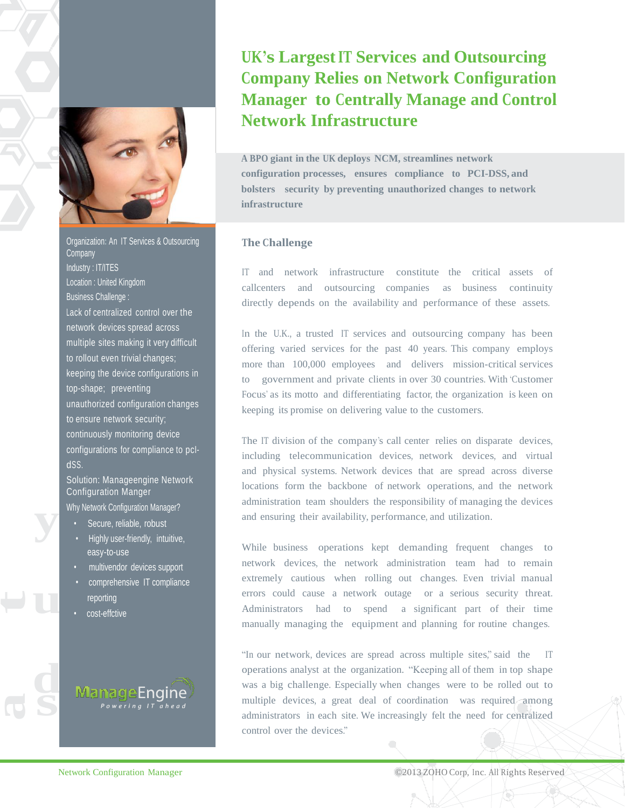

Organization**:** An IT Services & Outsourcing **Company** Industry : IT/ITES Location : United Kingdom Business Challenge : Lack of centralized control over the network devices spread across multiple sites making it very difficult to rollout even trivial changes; keeping the device configurations in top-shape; preventing unauthorized configuration changes to ensure network security; continuously monitoring device configurations for compliance to pcIdSS.

**y**  Solution: Manageengine Network Configuration Manger Why Network Configuration Manager?

- Secure, reliable, robust
- Highly user-friendly, intuitive, easy-to-use
- multivendor devices support
- comprehensive IT compliance reporting
- cost-effctive

**u**

**d**

**s**

**a**

**t**

anageEnq

# **UK's LargestIT Services and Outsourcing Company Relies on Network Configuration Manager to Centrally Manage and Control Network Infrastructure**

**A BPO giant in the UK deploys NCM, streamlines network configuration processes, ensures compliance to PCI-DSS, and bolsters security by preventing unauthorized changes to network infrastructure**

### **The Challenge**

IT and network infrastructure constitute the critical assets of callcenters and outsourcing companies as business continuity directly depends on the availability and performance of these assets.

In the U.K., a trusted IT services and outsourcing company has been offering varied services for the past 40 years. This company employs more than 100,000 employees and delivers mission-critical services to government and private clients in over 30 countries. With 'Customer' Focus' as its motto and differentiating factor, the organization is keen on keeping its promise on delivering value to the customers.

The IT division of the company's call center relies on disparate devices, including telecommunication devices, network devices, and virtual and physical systems. Network devices that are spread across diverse locations form the backbone of network operations, and the network administration team shoulders the responsibility of managing the devices and ensuring their availability, performance, and utilization.

While business operations kept demanding frequent changes to network devices, the network administration team had to remain extremely cautious when rolling out changes. Even trivial manual errors could cause a network outage or a serious security threat. Administrators had to spend a significant part of their time manually managing the equipment and planning for routine changes.

"In our network, devices are spread across multiple sites," said the operations analyst at the organization. "Keeping all of them in top shape was a big challenge. Especially when changes were to be rolled out to multiple devices, a great deal of coordination was required among administrators in each site. We increasingly felt the need for centralized control over the devices."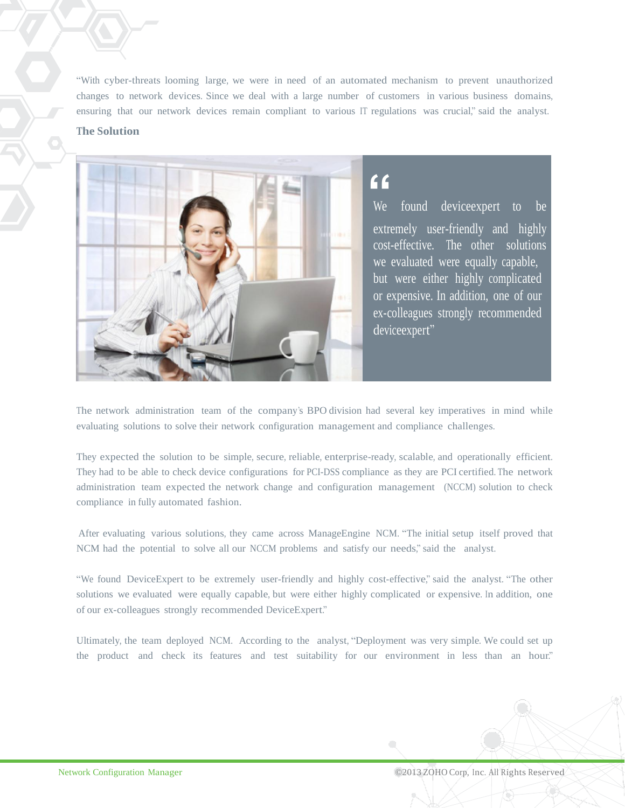―With cyber-threats looming large, we were in need of an automated mechanism to prevent unauthorized changes to network devices. Since we deal with a large number of customers in various business domains, ensuring that our network devices remain compliant to various IT regulations was crucial," said the analyst.

### **The Solution**



## **"**

We found device expert to be extremely user-friendly and highly cost-effective. The other solutions we evaluated were equally capable, but were either highly complicated or expensive. In addition, one of our ex-colleagues strongly recommended deviceexpert"

The network administration team of the company's BPO division had several key imperatives in mind while evaluating solutions to solve their network configuration management and compliance challenges.

They expected the solution to be simple, secure, reliable, enterprise-ready, scalable, and operationally efficient. They had to be able to check device configurations for PCI-DSS compliance as they are PCI certified. The network administration team expected the network change and configuration management (NCCM) solution to check compliance in fully automated fashion.

After evaluating various solutions, they came across ManageEngine NCM. "The initial setup itself proved that NCM had the potential to solve all our NCCM problems and satisfy our needs," said the analyst.

"We found DeviceExpert to be extremely user-friendly and highly cost-effective," said the analyst. "The other solutions we evaluated were equally capable, but were either highly complicated or expensive. In addition, one of our ex-colleagues strongly recommended DeviceExpert."

Ultimately, the team deployed NCM. According to the analyst, "Deployment was very simple. We could set up the product and check its features and test suitability for our environment in less than an hour."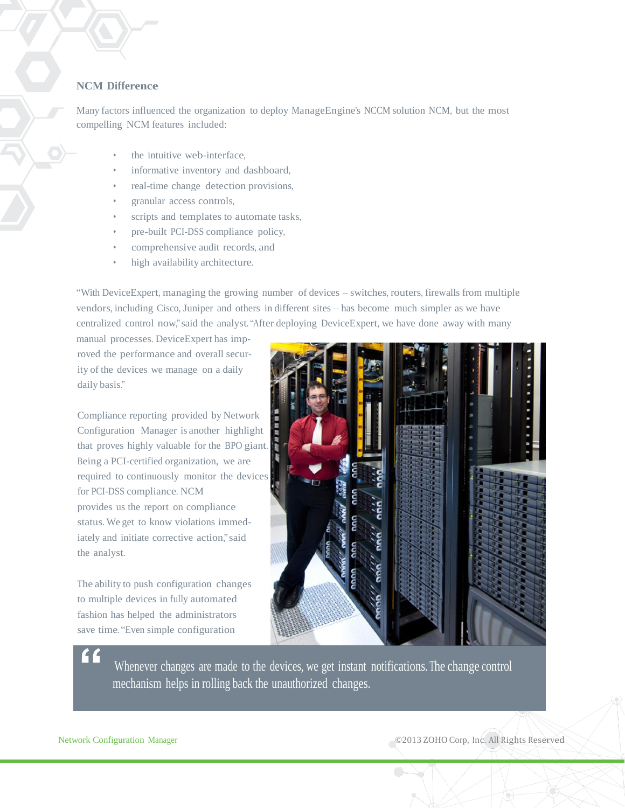## **NCM Difference**

Many factors influenced the organization to deploy ManageEngine's NCCM solution NCM, but the most compelling NCM features included:

- the intuitive web-interface,
- informative inventory and dashboard,
- real-time change detection provisions,
- granular access controls,
- scripts and templates to automate tasks,
- pre-built PCI-DSS compliance policy,
- comprehensive audit records, and
- high availability architecture.

―With DeviceExpert, managing the growing number of devices – switches, routers, firewalls from multiple vendors, including Cisco, Juniper and others in different sites – has become much simpler as we have centralized control now," said the analyst. "After deploying DeviceExpert, we have done away with many

manual processes. DeviceExpert has improved the performance and overall security of the devices we manage on a daily daily basis."

Compliance reporting provided by Network Configuration Manager is another highlight that proves highly valuable for the BPO giant. Being a PCI-certified organization, we are required to continuously monitor the devices for PCI-DSS compliance. NCM provides us the report on compliance status. We get to know violations immediately and initiate corrective action," said the analyst.

The ability to push configuration changes to multiple devices in fully automated fashion has helped the administrators save time. "Even simple configuration



Whenever changes are made to the devices, we get instant notifications. The change control mechanism helps in rolling back the unauthorized changes.

**"**

Network Configuration Manager ©2013 ZOHO Corp, Inc. All Rights Reserved